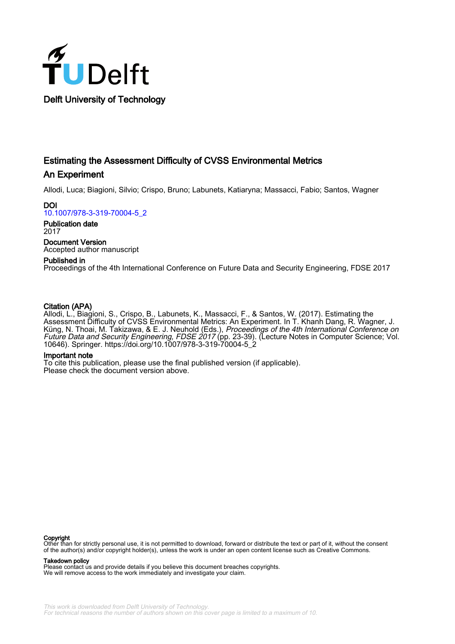

# Estimating the Assessment Difficulty of CVSS Environmental Metrics An Experiment

Allodi, Luca; Biagioni, Silvio; Crispo, Bruno; Labunets, Katiaryna; Massacci, Fabio; Santos, Wagner

DOI [10.1007/978-3-319-70004-5\\_2](https://doi.org/10.1007/978-3-319-70004-5_2)

Publication date 2017

Document Version Accepted author manuscript

#### Published in

Proceedings of the 4th International Conference on Future Data and Security Engineering, FDSE 2017

#### Citation (APA)

Allodi, L., Biagioni, S., Crispo, B., Labunets, K., Massacci, F., & Santos, W. (2017). Estimating the Assessment Difficulty of CVSS Environmental Metrics: An Experiment. In T. Khanh Dang, R. Wagner, J. Küng, N. Thoai, M. Takizawa, & E. J. Neuhold (Eds.), Proceedings of the 4th International Conference on Future Data and Security Engineering, FDSE 2017 (pp. 23-39). (Lecture Notes in Computer Science; Vol. 10646). Springer. [https://doi.org/10.1007/978-3-319-70004-5\\_2](https://doi.org/10.1007/978-3-319-70004-5_2)

#### Important note

To cite this publication, please use the final published version (if applicable). Please check the document version above.

**Copyright**<br>Other than for strictly personal use, it is not permitted to download, forward or distribute the text or part of it, without the consent of the author(s) and/or copyright holder(s), unless the work is under an open content license such as Creative Commons.

Takedown policy

Please contact us and provide details if you believe this document breaches copyrights. We will remove access to the work immediately and investigate your claim.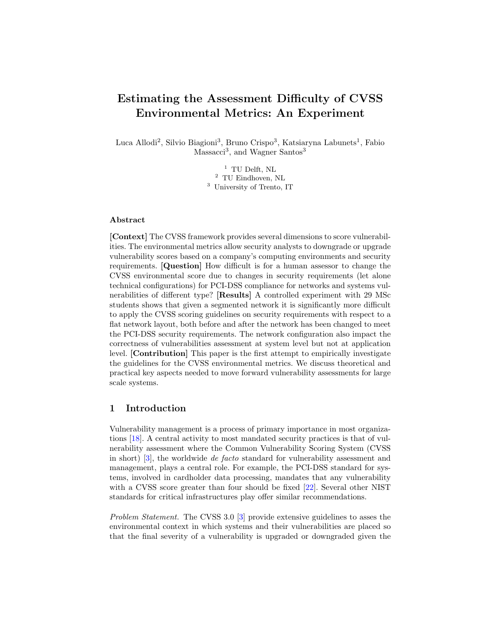# Estimating the Assessment Difficulty of CVSS Environmental Metrics: An Experiment

Luca Allodi<sup>2</sup>, Silvio Biagioni<sup>3</sup>, Bruno Crispo<sup>3</sup>, Katsiaryna Labunets<sup>1</sup>, Fabio Massacci<sup>3</sup>, and Wagner Santos<sup>3</sup>

> $1$  TU Delft, NL <sup>2</sup> TU Eindhoven, NL <sup>3</sup> University of Trento, IT

#### Abstract

[Context] The CVSS framework provides several dimensions to score vulnerabilities. The environmental metrics allow security analysts to downgrade or upgrade vulnerability scores based on a company's computing environments and security requirements. [Question] How difficult is for a human assessor to change the CVSS environmental score due to changes in security requirements (let alone technical configurations) for PCI-DSS compliance for networks and systems vulnerabilities of different type? [Results] A controlled experiment with 29 MSc students shows that given a segmented network it is significantly more difficult to apply the CVSS scoring guidelines on security requirements with respect to a flat network layout, both before and after the network has been changed to meet the PCI-DSS security requirements. The network configuration also impact the correctness of vulnerabilities assessment at system level but not at application level. [Contribution] This paper is the first attempt to empirically investigate the guidelines for the CVSS environmental metrics. We discuss theoretical and practical key aspects needed to move forward vulnerability assessments for large scale systems.

#### 1 Introduction

Vulnerability management is a process of primary importance in most organizations [\[18\]](#page-15-0). A central activity to most mandated security practices is that of vulnerability assessment where the Common Vulnerability Scoring System (CVSS in short) [\[3\]](#page-15-1), the worldwide de facto standard for vulnerability assessment and management, plays a central role. For example, the PCI-DSS standard for systems, involved in cardholder data processing, mandates that any vulnerability with a CVSS score greater than four should be fixed [\[22\]](#page-15-2). Several other NIST standards for critical infrastructures play offer similar recommendations.

Problem Statement. The CVSS 3.0 [\[3\]](#page-15-1) provide extensive guidelines to asses the environmental context in which systems and their vulnerabilities are placed so that the final severity of a vulnerability is upgraded or downgraded given the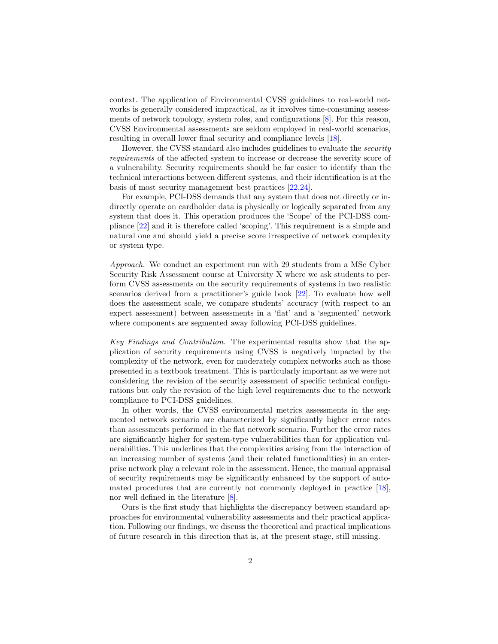context. The application of Environmental CVSS guidelines to real-world networks is generally considered impractical, as it involves time-consuming assessments of network topology, system roles, and configurations [\[8\]](#page-15-3). For this reason, CVSS Environmental assessments are seldom employed in real-world scenarios, resulting in overall lower final security and compliance levels [\[18\]](#page-15-0).

However, the CVSS standard also includes guidelines to evaluate the security requirements of the affected system to increase or decrease the severity score of a vulnerability. Security requirements should be far easier to identify than the technical interactions between different systems, and their identification is at the basis of most security management best practices [\[22,](#page-15-2)[24\]](#page-16-0).

For example, PCI-DSS demands that any system that does not directly or indirectly operate on cardholder data is physically or logically separated from any system that does it. This operation produces the 'Scope' of the PCI-DSS compliance [\[22\]](#page-15-2) and it is therefore called 'scoping'. This requirement is a simple and natural one and should yield a precise score irrespective of network complexity or system type.

Approach. We conduct an experiment run with 29 students from a MSc Cyber Security Risk Assessment course at University X where we ask students to perform CVSS assessments on the security requirements of systems in two realistic scenarios derived from a practitioner's guide book [\[22\]](#page-15-2). To evaluate how well does the assessment scale, we compare students' accuracy (with respect to an expert assessment) between assessments in a 'flat' and a 'segmented' network where components are segmented away following PCI-DSS guidelines.

Key Findings and Contribution. The experimental results show that the application of security requirements using CVSS is negatively impacted by the complexity of the network, even for moderately complex networks such as those presented in a textbook treatment. This is particularly important as we were not considering the revision of the security assessment of specific technical configurations but only the revision of the high level requirements due to the network compliance to PCI-DSS guidelines.

In other words, the CVSS environmental metrics assessments in the segmented network scenario are characterized by significantly higher error rates than assessments performed in the flat network scenario. Further the error rates are significantly higher for system-type vulnerabilities than for application vulnerabilities. This underlines that the complexities arising from the interaction of an increasing number of systems (and their related functionalities) in an enterprise network play a relevant role in the assessment. Hence, the manual appraisal of security requirements may be significantly enhanced by the support of automated procedures that are currently not commonly deployed in practice [\[18\]](#page-15-0), nor well defined in the literature [\[8\]](#page-15-3).

Ours is the first study that highlights the discrepancy between standard approaches for environmental vulnerability assessments and their practical application. Following our findings, we discuss the theoretical and practical implications of future research in this direction that is, at the present stage, still missing.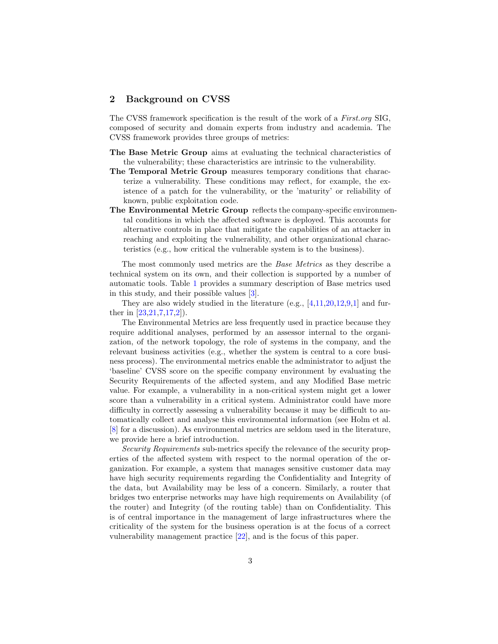#### 2 Background on CVSS

The CVSS framework specification is the result of the work of a First.org SIG, composed of security and domain experts from industry and academia. The CVSS framework provides three groups of metrics:

The Base Metric Group aims at evaluating the technical characteristics of the vulnerability; these characteristics are intrinsic to the vulnerability.

- The Temporal Metric Group measures temporary conditions that characterize a vulnerability. These conditions may reflect, for example, the existence of a patch for the vulnerability, or the 'maturity' or reliability of known, public exploitation code.
- The Environmental Metric Group reflects the company-specific environmental conditions in which the affected software is deployed. This accounts for alternative controls in place that mitigate the capabilities of an attacker in reaching and exploiting the vulnerability, and other organizational characteristics (e.g., how critical the vulnerable system is to the business).

The most commonly used metrics are the Base Metrics as they describe a technical system on its own, and their collection is supported by a number of automatic tools. Table [1](#page-4-0) provides a summary description of Base metrics used in this study, and their possible values [\[3\]](#page-15-1).

They are also widely studied in the literature (e.g., [\[4,](#page-15-4)[11,](#page-15-5)[20,](#page-15-6)[12](#page-15-7)[,9,](#page-15-8)[1\]](#page-14-0) and further in  $[23,21,7,17,2]$  $[23,21,7,17,2]$  $[23,21,7,17,2]$  $[23,21,7,17,2]$  $[23,21,7,17,2]$ .

The Environmental Metrics are less frequently used in practice because they require additional analyses, performed by an assessor internal to the organization, of the network topology, the role of systems in the company, and the relevant business activities (e.g., whether the system is central to a core business process). The environmental metrics enable the administrator to adjust the 'baseline' CVSS score on the specific company environment by evaluating the Security Requirements of the affected system, and any Modified Base metric value. For example, a vulnerability in a non-critical system might get a lower score than a vulnerability in a critical system. Administrator could have more difficulty in correctly assessing a vulnerability because it may be difficult to automatically collect and analyse this environmental information (see Holm et al. [\[8\]](#page-15-3) for a discussion). As environmental metrics are seldom used in the literature, we provide here a brief introduction.

Security Requirements sub-metrics specify the relevance of the security properties of the affected system with respect to the normal operation of the organization. For example, a system that manages sensitive customer data may have high security requirements regarding the Confidentiality and Integrity of the data, but Availability may be less of a concern. Similarly, a router that bridges two enterprise networks may have high requirements on Availability (of the router) and Integrity (of the routing table) than on Confidentiality. This is of central importance in the management of large infrastructures where the criticality of the system for the business operation is at the focus of a correct vulnerability management practice [\[22\]](#page-15-2), and is the focus of this paper.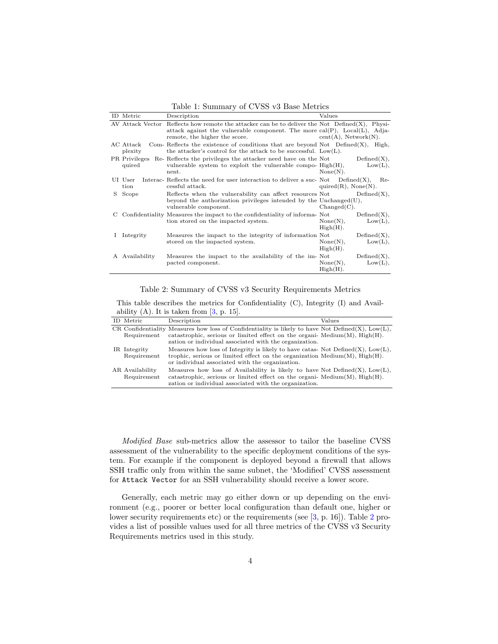<span id="page-4-0"></span>

|    | ID Metric            | Description                                                                                                                                                                                                              | Values                      |                           |
|----|----------------------|--------------------------------------------------------------------------------------------------------------------------------------------------------------------------------------------------------------------------|-----------------------------|---------------------------|
|    |                      | AV Attack Vector Reflects how remote the attacker can be to deliver the Not Defined $(X)$ , Physi-<br>attack against the vulnerable component. The more $cal(P)$ , $Local(L)$ , $Adja-$<br>remote, the higher the score. | $cent(A)$ , Network $(N)$ . |                           |
|    | AC Attack<br>plexity | Com-Reflects the existence of conditions that are beyond Not $Defined(X)$ , High,<br>the attacker's control for the attack to be successful. $Low(L)$ .                                                                  |                             |                           |
|    | quired               | PR Privileges Re-Reflects the privileges the attacker need have on the Not<br>vulnerable system to exploit the vulnerable compo- $High(H)$ ,<br>nent.                                                                    | $None(N)$ .                 | Defined(X),<br>$Low(L)$ , |
|    | UI User<br>tion      | Interac- Reflects the need for user interaction to deliver a suc- Not Defined $(X)$ ,<br>cessful attack.                                                                                                                 | $quired(R)$ , $None(N)$ .   | $Re-$                     |
| S. | Scope                | Reflects when the vulnerability can affect resources Not<br>beyond the authorization privileges intended by the Unchanged $(U)$ ,<br>vulnerable component.                                                               | $Changed(C)$ .              | Defined(X),               |
|    |                      | Confidentiality Measures the impact to the confidentiality of informa-Not<br>tion stored on the impacted system.                                                                                                         | None(N),<br>$High(H)$ .     | Defined(X),<br>$Low(L)$ , |
| 1  | Integrity            | Measures the impact to the integrity of information Not<br>stored on the impacted system.                                                                                                                                | None(N),<br>$High(H)$ .     | Defined(X),<br>$Low(L)$ , |
| A  | Availability         | Measures the impact to the availability of the im-Not<br>pacted component.                                                                                                                                               | None(N),<br>$High(H)$ .     | Defined(X),<br>$Low(L)$ , |

Table 1: Summary of CVSS v3 Base Metrics

Table 2: Summary of CVSS v3 Security Requirements Metrics

This table describes the metrics for Confidentiality (C), Integrity (I) and Availability  $(A)$ . It is taken from  $[3, p. 15]$  $[3, p. 15]$ .

| ID Metric                      | Description                                                                                                                                                                                                                                             | Values |
|--------------------------------|---------------------------------------------------------------------------------------------------------------------------------------------------------------------------------------------------------------------------------------------------------|--------|
| Requirement                    | CR Confidentiality Measures how loss of Confidentiality is likely to have Not Defined $(X)$ , Low $(L)$ ,<br>catastrophic, serious or limited effect on the organi- $Median(M)$ , $High(H)$ .<br>zation or individual associated with the organization. |        |
| IR Integrity<br>Requirement    | Measures how loss of Integrity is likely to have catas- Not Defined $(X)$ , Low $(L)$ ,<br>trophic, serious or limited effect on the organization $Median(M)$ , $High(H)$ .<br>or individual associated with the organization.                          |        |
| AR Availability<br>Requirement | Measures how loss of Availability is likely to have Not Defined $(X)$ , Low $(L)$ ,<br>catastrophic, serious or limited effect on the organi- Medium $(M)$ , High $(H)$ .<br>zation or individual associated with the organization.                     |        |

Modified Base sub-metrics allow the assessor to tailor the baseline CVSS assessment of the vulnerability to the specific deployment conditions of the system. For example if the component is deployed beyond a firewall that allows SSH traffic only from within the same subnet, the 'Modified' CVSS assessment for Attack Vector for an SSH vulnerability should receive a lower score.

Generally, each metric may go either down or up depending on the environment (e.g., poorer or better local configuration than default one, higher or lower security requirements etc) or the requirements (see [\[3,](#page-15-1) p. 16]). Table [2](#page-4-0) provides a list of possible values used for all three metrics of the CVSS v3 Security Requirements metrics used in this study.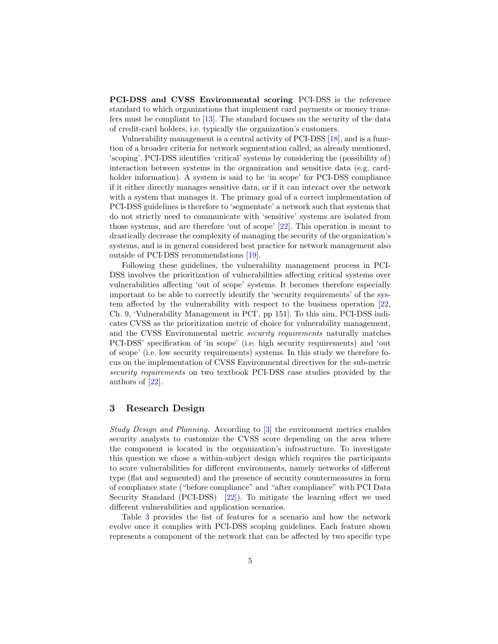PCI-DSS and CVSS Environmental scoring PCI-DSS is the reference standard to which organizations that implement card payments or money transfers must be compliant to [\[13\]](#page-15-13). The standard focuses on the security of the data of credit-card holders, i.e. typically the organization's customers.

Vulnerability management is a central activity of PCI-DSS [\[18\]](#page-15-0), and is a function of a broader criteria for network segmentation called, as already mentioned, 'scoping'. PCI-DSS identifies 'critical' systems by considering the (possibility of) interaction between systems in the organization and sensitive data (e.g. cardholder information). A system is said to be 'in scope' for PCI-DSS compliance if it either directly manages sensitive data, or if it can interact over the network with a system that manages it. The primary goal of a correct implementation of PCI-DSS guidelines is therefore to 'segmentate' a network such that systems that do not strictly need to communicate with 'sensitive' systems are isolated from those systems, and are therefore 'out of scope' [\[22\]](#page-15-2). This operation is meant to drastically decrease the complexity of managing the security of the organization's systems, and is in general considered best practice for network management also outside of PCI-DSS recommendations [\[19\]](#page-15-14).

Following these guidelines, the vulnerability management process in PCI-DSS involves the prioritization of vulnerabilities affecting critical systems over vulnerabilities affecting 'out of scope' systems. It becomes therefore especially important to be able to correctly identify the 'security requirements' of the system affected by the vulnerability with respect to the business operation [\[22,](#page-15-2) Ch. 9, 'Vulnerability Management in PCI', pp 151]. To this aim, PCI-DSS indicates CVSS as the prioritization metric of choice for vulnerability management, and the CVSS Environmental metric security requirements naturally matches PCI-DSS' specification of 'in scope' (i.e. high security requirements) and 'out of scope' (i.e. low security requirements) systems. In this study we therefore focus on the implementation of CVSS Environmental directives for the sub-metric security requirements on two textbook PCI-DSS case studies provided by the authors of [\[22\]](#page-15-2).

#### 3 Research Design

Study Design and Planning. According to [\[3\]](#page-15-1) the environment metrics enables security analysts to customize the CVSS score depending on the area where the component is located in the organization's infrastructure. To investigate this question we chose a within-subject design which requires the participants to score vulnerabilities for different environments, namely networks of different type (flat and segmented) and the presence of security countermeasures in form of compliance state ("before compliance" and "after compliance" with PCI Data Security Standard (PCI-DSS) [\[22\]](#page-15-2)). To mitigate the learning effect we used different vulnerabilities and application scenarios.

Table [3](#page-6-0) provides the list of features for a scenario and how the network evolve once it complies with PCI-DSS scoping guidelines. Each feature shown represents a component of the network that can be affected by two specific type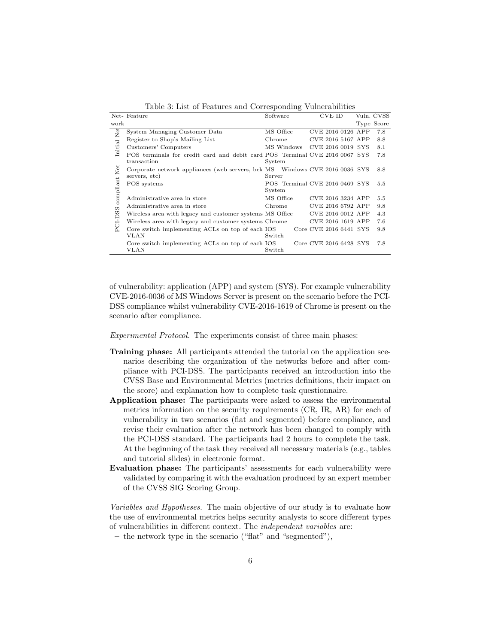<span id="page-6-0"></span>

|                | Net-Feature                                                                 | Software   | <b>CVE ID</b>                  | Vuln. CVSS |
|----------------|-----------------------------------------------------------------------------|------------|--------------------------------|------------|
| work           |                                                                             |            |                                | Type Score |
|                | System Managing Customer Data                                               | MS Office  | CVE 2016 0126 APP              | 7.8        |
|                | Register to Shop's Mailing List                                             | Chrome     | CVE 2016 5167 APP              | 8.8        |
| Initial Net    | Customers' Computers                                                        | MS Windows | CVE 2016 0019 SYS              | 8.1        |
|                | POS terminals for credit card and debit card POS Terminal CVE 2016 0067 SYS |            |                                | 7.8        |
|                | transaction                                                                 | System     |                                |            |
| $\overline{M}$ | Corporate network appliances (web servers, bck MS Windows CVE 2016 0036 SYS |            |                                | 8.8        |
|                | servers, etc)                                                               | Server     |                                |            |
|                | POS systems                                                                 |            | POS Terminal CVE 2016 0469 SYS | 5.5        |
|                |                                                                             | System     |                                |            |
| compliant      | Administrative area in store                                                | MS Office  | CVE 2016 3234 APP              | 5.5        |
|                | Administrative area in store                                                | Chrome     | CVE 2016 6792 APP              | 9.8        |
| PCI-DSS        | Wireless area with legacy and customer systems MS Office                    |            | CVE 2016 0012 APP              | 4.3        |
|                | Wireless area with legacy and customer systems Chrome                       |            | CVE 2016 1619 APP              | 7.6        |
|                | Core switch implementing ACLs on top of each IOS                            |            | Core CVE 2016 6441 SYS         | 9.8        |
|                | VLAN                                                                        | Switch     |                                |            |
|                | Core switch implementing ACLs on top of each IOS                            |            | Core CVE 2016 6428 SYS         | 7.8        |
|                | <b>VLAN</b>                                                                 | Switch     |                                |            |

Table 3: List of Features and Corresponding Vulnerabilities

of vulnerability: application (APP) and system (SYS). For example vulnerability CVE-2016-0036 of MS Windows Server is present on the scenario before the PCI-DSS compliance whilst vulnerability CVE-2016-1619 of Chrome is present on the scenario after compliance.

Experimental Protocol. The experiments consist of three main phases:

- Training phase: All participants attended the tutorial on the application scenarios describing the organization of the networks before and after compliance with PCI-DSS. The participants received an introduction into the CVSS Base and Environmental Metrics (metrics definitions, their impact on the score) and explanation how to complete task questionnaire.
- Application phase: The participants were asked to assess the environmental metrics information on the security requirements (CR, IR, AR) for each of vulnerability in two scenarios (flat and segmented) before compliance, and revise their evaluation after the network has been changed to comply with the PCI-DSS standard. The participants had 2 hours to complete the task. At the beginning of the task they received all necessary materials (e.g., tables and tutorial slides) in electronic format.
- Evaluation phase: The participants' assessments for each vulnerability were validated by comparing it with the evaluation produced by an expert member of the CVSS SIG Scoring Group.

Variables and Hypotheses. The main objective of our study is to evaluate how the use of environmental metrics helps security analysts to score different types of vulnerabilities in different context. The independent variables are:

– the network type in the scenario ("flat" and "segmented"),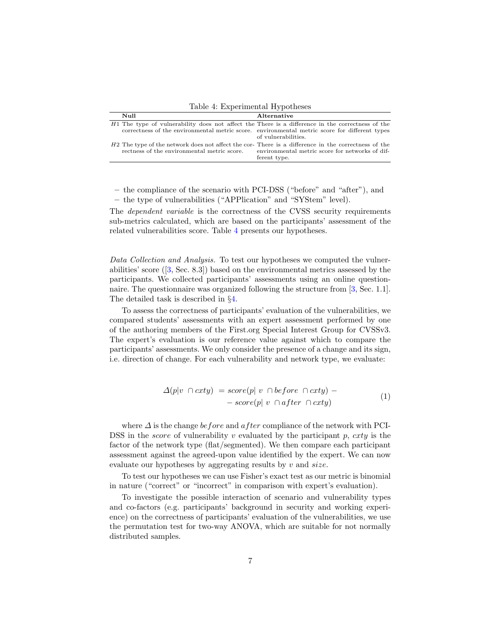Table 4: Experimental Hypotheses

<span id="page-7-0"></span>

| $N$ ull                                                                                                                                                        | Alternative                                                                                                          |
|----------------------------------------------------------------------------------------------------------------------------------------------------------------|----------------------------------------------------------------------------------------------------------------------|
| H <sub>1</sub> The type of vulnerability does not affect the There is a difference in the correctness of the                                                   | correctness of the environmental metric score. environmental metric score for different types<br>of vulnerabilities. |
| H <sub>2</sub> The type of the network does not affect the cor- There is a difference in the correctness of the<br>rectness of the environmental metric score. | environmental metric score for networks of dif-<br>ferent type.                                                      |

– the compliance of the scenario with PCI-DSS ("before" and "after"), and – the type of vulnerabilities ("APPlication" and "SYStem" level).

The dependent variable is the correctness of the CVSS security requirements sub-metrics calculated, which are based on the participants' assessment of the related vulnerabilities score. Table [4](#page-7-0) presents our hypotheses.

Data Collection and Analysis. To test our hypotheses we computed the vulnerabilities' score ([\[3,](#page-15-1) Sec. 8.3]) based on the environmental metrics assessed by the participants. We collected participants' assessments using an online questionnaire. The questionnaire was organized following the structure from [\[3,](#page-15-1) Sec. 1.1]. The detailed task is described in §[4.](#page-10-0)

To assess the correctness of participants' evaluation of the vulnerabilities, we compared students' assessments with an expert assessment performed by one of the authoring members of the First.org Special Interest Group for CVSSv3. The expert's evaluation is our reference value against which to compare the participants' assessments. We only consider the presence of a change and its sign, i.e. direction of change. For each vulnerability and network type, we evaluate:

$$
\Delta(p|v \cap cxty) = score(p| v \cap before \cap cxty) -\n- score(p| v \cap after \cap cxty)
$$
\n(1)

where  $\Delta$  is the change *before* and *after* compliance of the network with PCI-DSS in the *score* of vulnerability v evaluated by the participant p,  $c x t y$  is the factor of the network type (flat/segmented). We then compare each participant assessment against the agreed-upon value identified by the expert. We can now evaluate our hypotheses by aggregating results by  $v$  and  $size$ .

To test our hypotheses we can use Fisher's exact test as our metric is binomial in nature ("correct" or "incorrect" in comparison with expert's evaluation).

To investigate the possible interaction of scenario and vulnerability types and co-factors (e.g. participants' background in security and working experience) on the correctness of participants' evaluation of the vulnerabilities, we use the permutation test for two-way ANOVA, which are suitable for not normally distributed samples.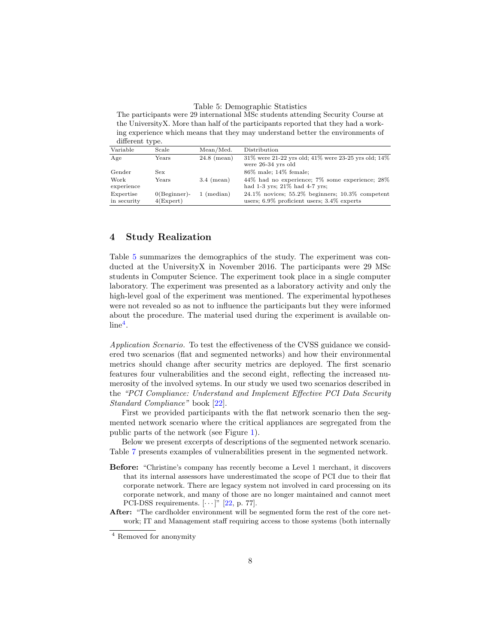#### Table 5: Demographic Statistics

<span id="page-8-0"></span>The participants were 29 international MSc students attending Security Course at the UniversityX. More than half of the participants reported that they had a working experience which means that they may understand better the environments of different type.

|                          | $\cdot$ $\cdot$                 |                 |                                                                                                          |
|--------------------------|---------------------------------|-----------------|----------------------------------------------------------------------------------------------------------|
| Variable                 | Scale                           | Mean/Med.       | Distribution                                                                                             |
| Age                      | $\rm Years$                     | $24.8$ (mean)   | $31\%$ were 21-22 yrs old; $41\%$ were 23-25 yrs old; $14\%$<br>were 26-34 yrs old                       |
| Gender                   | Sex                             |                 | $86\%$ male; $14\%$ female;                                                                              |
| Work<br>experience       | $\rm Years$                     | $3.4 \; (mean)$ | 44% had no experience; 7% some experience; 28%<br>had 1-3 yrs; 21% had 4-7 yrs;                          |
| Expertise<br>in security | $0(Beginner)$ -<br>$4$ (Expert) | (median)        | $24.1\%$ novices; 55.2\% beginners; 10.3\% competent<br>users; $6.9\%$ proficient users; $3.4\%$ experts |

#### 4 Study Realization

Table [5](#page-8-0) summarizes the demographics of the study. The experiment was conducted at the UniversityX in November 2016. The participants were 29 MSc students in Computer Science. The experiment took place in a single computer laboratory. The experiment was presented as a laboratory activity and only the high-level goal of the experiment was mentioned. The experimental hypotheses were not revealed so as not to influence the participants but they were informed about the procedure. The material used during the experiment is available on- $line<sup>4</sup>$  $line<sup>4</sup>$  $line<sup>4</sup>$ .

Application Scenario. To test the effectiveness of the CVSS guidance we considered two scenarios (flat and segmented networks) and how their environmental metrics should change after security metrics are deployed. The first scenario features four vulnerabilities and the second eight, reflecting the increased numerosity of the involved sytems. In our study we used two scenarios described in the "PCI Compliance: Understand and Implement Effective PCI Data Security Standard Compliance" book [\[22\]](#page-15-2).

First we provided participants with the flat network scenario then the segmented network scenario where the critical appliances are segregated from the public parts of the network (see Figure [1\)](#page-9-0).

Below we present excerpts of descriptions of the segmented network scenario. Table [7](#page-10-1) presents examples of vulnerabilities present in the segmented network.

- Before: "Christine's company has recently become a Level 1 merchant, it discovers that its internal assessors have underestimated the scope of PCI due to their flat corporate network. There are legacy system not involved in card processing on its corporate network, and many of those are no longer maintained and cannot meet PCI-DSS requirements.  $[\cdots]$ " [\[22,](#page-15-2) p. 77].
- After: "The cardholder environment will be segmented form the rest of the core network; IT and Management staff requiring access to those systems (both internally

<span id="page-8-1"></span><sup>4</sup> Removed for anonymity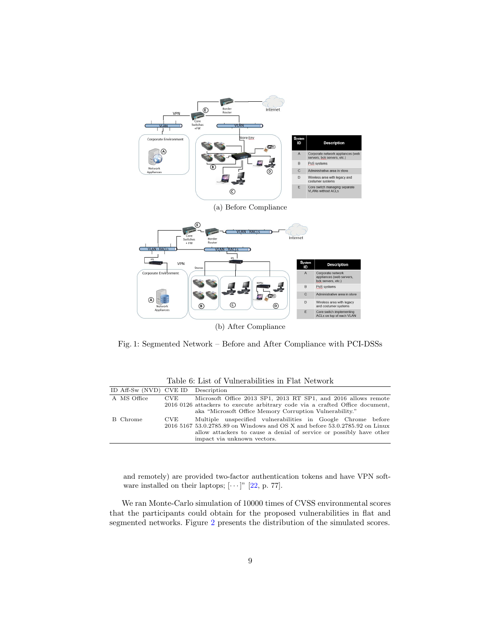<span id="page-9-0"></span>

Fig. 1: Segmented Network – Before and After Compliance with PCI-DSSs

Table 6: List of Vulnerabilities in Flat Network

| ID Aff-Sw (NVD) CVE ID Description |       |                                                                                                                                                                                                                                                   |
|------------------------------------|-------|---------------------------------------------------------------------------------------------------------------------------------------------------------------------------------------------------------------------------------------------------|
| A MS Office                        | CVE – | Microsoft Office 2013 SP1, 2013 RT SP1, and 2016 allows remote                                                                                                                                                                                    |
|                                    |       | 2016 0126 attackers to execute arbitrary code via a crafted Office document,<br>aka "Microsoft Office Memory Corruption Vulnerability."                                                                                                           |
| B Chrome                           | CVE.  | Multiple unspecified vulnerabilities in Google Chrome before<br>2016 5167 53.0.2785.89 on Windows and OS X and before 53.0.2785.92 on Linux<br>allow attackers to cause a denial of service or possibly have other<br>impact via unknown vectors. |

and remotely) are provided two-factor authentication tokens and have VPN software installed on their laptops;  $[\cdots]$ " [\[22,](#page-15-2) p. 77].

We ran Monte-Carlo simulation of 10000 times of CVSS environmental scores that the participants could obtain for the proposed vulnerabilities in flat and segmented networks. Figure [2](#page-10-2) presents the distribution of the simulated scores.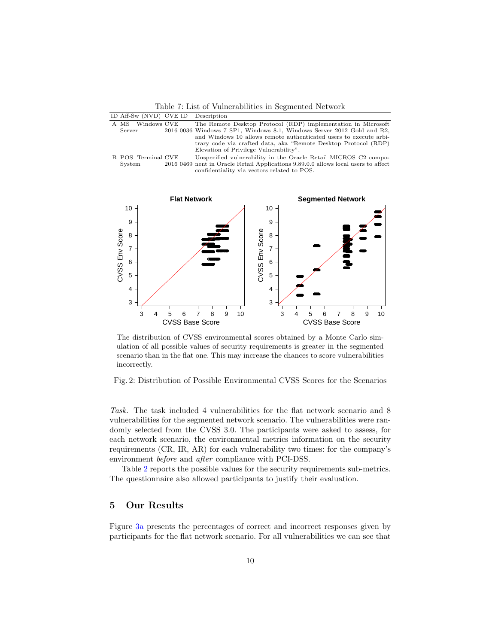Table 7: List of Vulnerabilities in Segmented Network

<span id="page-10-1"></span>

| ID Aff-Sw (NVD) CVE ID Description |                                                                                    |
|------------------------------------|------------------------------------------------------------------------------------|
| A MS Windows CVE                   | The Remote Desktop Protocol (RDP) implementation in Microsoft                      |
| Server                             | 2016 0036 Windows 7 SP1, Windows 8.1, Windows Server 2012 Gold and R2,             |
|                                    | and Windows 10 allows remote authenticated users to execute arbi-                  |
|                                    | trary code via crafted data, aka "Remote Desktop Protocol (RDP)                    |
|                                    | Elevation of Privilege Vulnerability".                                             |
| B POS Terminal CVE                 | Unspecified vulnerability in the Oracle Retail MICROS C2 compo-                    |
| System                             | 2016 0469 nent in Oracle Retail Applications 9.89.0.0 allows local users to affect |
|                                    | confidentiality via vectors related to POS.                                        |

<span id="page-10-2"></span>

The distribution of CVSS environmental scores obtained by a Monte Carlo simulation of all possible values of security requirements is greater in the segmented scenario than in the flat one. This may increase the chances to score vulnerabilities incorrectly.

Fig. 2: Distribution of Possible Environmental CVSS Scores for the Scenarios

<span id="page-10-0"></span>Task. The task included 4 vulnerabilities for the flat network scenario and 8 vulnerabilities for the segmented network scenario. The vulnerabilities were randomly selected from the CVSS 3.0. The participants were asked to assess, for each network scenario, the environmental metrics information on the security requirements (CR, IR, AR) for each vulnerability two times: for the company's environment before and after compliance with PCI-DSS.

Table [2](#page-4-0) reports the possible values for the security requirements sub-metrics. The questionnaire also allowed participants to justify their evaluation.

## 5 Our Results

Figure [3a](#page-11-0) presents the percentages of correct and incorrect responses given by participants for the flat network scenario. For all vulnerabilities we can see that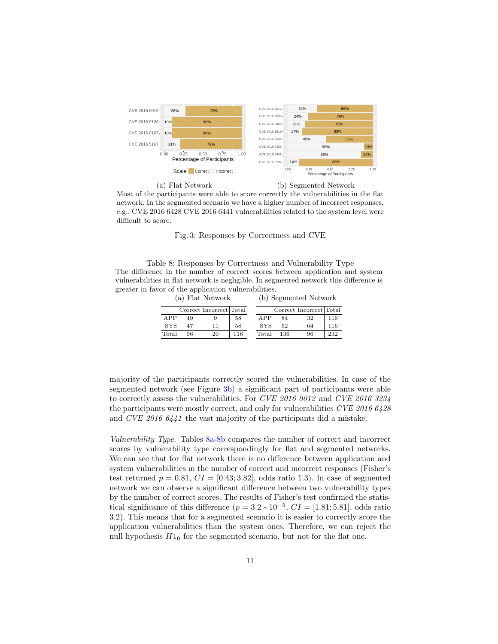<span id="page-11-4"></span><span id="page-11-0"></span>

<span id="page-11-1"></span>(b) Segmented Network

Most of the participants were able to score correctly the vulnerabilities in the flat network. In the segmented scenario we have a higher number of incorrect responses, e.g., CVE 2016 6428 CVE 2016 6441 vulnerabilities related to the system level were difficult to score.

Fig. 3: Responses by Correctness and CVE

<span id="page-11-2"></span>Table 8: Responses by Correctness and Vulnerability Type The difference in the number of correct scores between application and system vulnerabilities in flat network is negligible. In segmented network this difference is greater in favor of the application vulnerabilities.

<span id="page-11-3"></span>

| (a) Flat Network |    |                         |     |            |     | (b) Segmented Network   |     |
|------------------|----|-------------------------|-----|------------|-----|-------------------------|-----|
|                  |    | Correct Incorrect Total |     |            |     | Correct Incorrect Total |     |
| APP              | 49 |                         | 58  | APP        | 84  | 32                      | 116 |
| <b>SYS</b>       | 47 | 11                      | 58  | <b>SYS</b> | 52  | 64                      | 116 |
| Total            | 96 | 20                      | 116 | Total      | 136 | 96                      | 232 |

majority of the participants correctly scored the vulnerabilities. In case of the segmented network (see Figure [3b\)](#page-11-1) a significant part of participants were able to correctly assess the vulnerabilities. For CVE 2016 0012 and CVE 2016 3234 the participants were mostly correct, and only for vulnerabilities CVE 2016 6428 and CVE 2016 6441 the vast majority of the participants did a mistake.

Vulnerability Type. Tables [8a-](#page-11-2)[8b](#page-11-3) compares the number of correct and incorrect scores by vulnerability type correspondingly for flat and segmented networks. We can see that for flat network there is no difference between application and system vulnerabilities in the number of correct and incorrect responses (Fisher's test returned  $p = 0.81$ ,  $CI = [0.43; 3.82]$ , odds ratio 1.3). In case of segmented network we can observe a significant difference between two vulnerability types by the number of correct scores. The results of Fisher's test confirmed the statistical significance of this difference  $(p = 3.2 \times 10^{-5}, CI = [1.81; 5.81],$  odds ratio 3.2). This means that for a segmented scenario it is easier to correctly score the application vulnerabilities than the system ones. Therefore, we can reject the null hypothesis  $H1_0$  for the segmented scenario, but not for the flat one.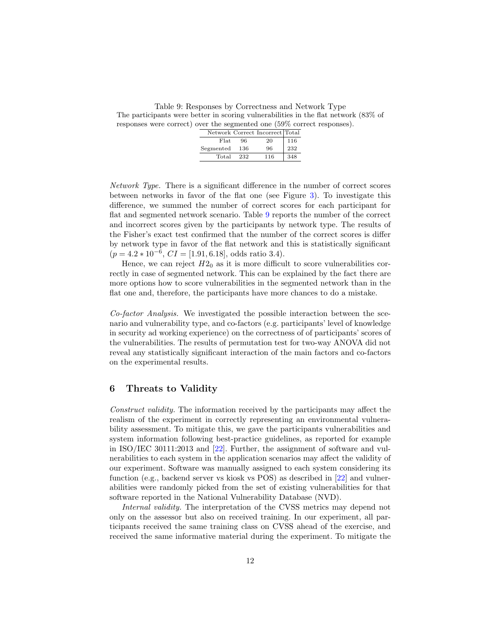<span id="page-12-0"></span>Table 9: Responses by Correctness and Network Type The participants were better in scoring vulnerabilities in the flat network (83% of responses were correct) over the segmented one (59% correct responses).

|           |     | Network Correct Incorrect Total |     |
|-----------|-----|---------------------------------|-----|
| Flat      | 96  | 20                              | 116 |
| Segmented | 136 | 96                              | 232 |
| Total     | 232 | 116                             | 348 |

Network Type. There is a significant difference in the number of correct scores between networks in favor of the flat one (see Figure [3\)](#page-11-4). To investigate this difference, we summed the number of correct scores for each participant for flat and segmented network scenario. Table [9](#page-12-0) reports the number of the correct and incorrect scores given by the participants by network type. The results of the Fisher's exact test confirmed that the number of the correct scores is differ by network type in favor of the flat network and this is statistically significant  $(p = 4.2 * 10^{-6}, CI = [1.91, 6.18],$  odds ratio 3.4).

Hence, we can reject  $H2_0$  as it is more difficult to score vulnerabilities correctly in case of segmented network. This can be explained by the fact there are more options how to score vulnerabilities in the segmented network than in the flat one and, therefore, the participants have more chances to do a mistake.

Co-factor Analysis. We investigated the possible interaction between the scenario and vulnerability type, and co-factors (e.g. participants' level of knowledge in security ad working experience) on the correctness of of participants' scores of the vulnerabilities. The results of permutation test for two-way ANOVA did not reveal any statistically significant interaction of the main factors and co-factors on the experimental results.

#### 6 Threats to Validity

Construct validity. The information received by the participants may affect the realism of the experiment in correctly representing an environmental vulnerability assessment. To mitigate this, we gave the participants vulnerabilities and system information following best-practice guidelines, as reported for example in ISO/IEC 30111:2013 and [\[22\]](#page-15-2). Further, the assignment of software and vulnerabilities to each system in the application scenarios may affect the validity of our experiment. Software was manually assigned to each system considering its function (e.g., backend server vs kiosk vs POS) as described in [\[22\]](#page-15-2) and vulnerabilities were randomly picked from the set of existing vulnerabilities for that software reported in the National Vulnerability Database (NVD).

Internal validity. The interpretation of the CVSS metrics may depend not only on the assessor but also on received training. In our experiment, all participants received the same training class on CVSS ahead of the exercise, and received the same informative material during the experiment. To mitigate the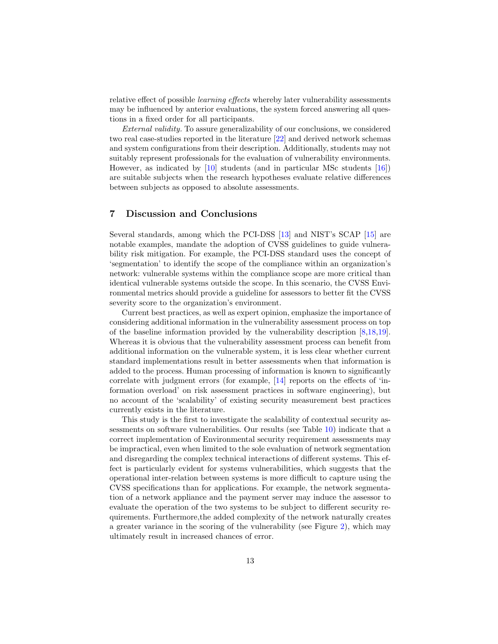relative effect of possible learning effects whereby later vulnerability assessments may be influenced by anterior evaluations, the system forced answering all questions in a fixed order for all participants.

External validity. To assure generalizability of our conclusions, we considered two real case-studies reported in the literature [\[22\]](#page-15-2) and derived network schemas and system configurations from their description. Additionally, students may not suitably represent professionals for the evaluation of vulnerability environments. However, as indicated by  $[10]$  students (and in particular MSc students  $[16]$ ) are suitable subjects when the research hypotheses evaluate relative differences between subjects as opposed to absolute assessments.

### 7 Discussion and Conclusions

Several standards, among which the PCI-DSS [\[13\]](#page-15-13) and NIST's SCAP [\[15\]](#page-15-17) are notable examples, mandate the adoption of CVSS guidelines to guide vulnerability risk mitigation. For example, the PCI-DSS standard uses the concept of 'segmentation' to identify the scope of the compliance within an organization's network: vulnerable systems within the compliance scope are more critical than identical vulnerable systems outside the scope. In this scenario, the CVSS Environmental metrics should provide a guideline for assessors to better fit the CVSS severity score to the organization's environment.

Current best practices, as well as expert opinion, emphasize the importance of considering additional information in the vulnerability assessment process on top of the baseline information provided by the vulnerability description [\[8,](#page-15-3)[18,](#page-15-0)[19\]](#page-15-14). Whereas it is obvious that the vulnerability assessment process can benefit from additional information on the vulnerable system, it is less clear whether current standard implementations result in better assessments when that information is added to the process. Human processing of information is known to significantly correlate with judgment errors (for example, [\[14\]](#page-15-18) reports on the effects of 'information overload' on risk assessment practices in software engineering), but no account of the 'scalability' of existing security measurement best practices currently exists in the literature.

This study is the first to investigate the scalability of contextual security assessments on software vulnerabilities. Our results (see Table [10\)](#page-14-1) indicate that a correct implementation of Environmental security requirement assessments may be impractical, even when limited to the sole evaluation of network segmentation and disregarding the complex technical interactions of different systems. This effect is particularly evident for systems vulnerabilities, which suggests that the operational inter-relation between systems is more difficult to capture using the CVSS specifications than for applications. For example, the network segmentation of a network appliance and the payment server may induce the assessor to evaluate the operation of the two systems to be subject to different security requirements. Furthermore,the added complexity of the network naturally creates a greater variance in the scoring of the vulnerability (see Figure [2\)](#page-10-2), which may ultimately result in increased chances of error.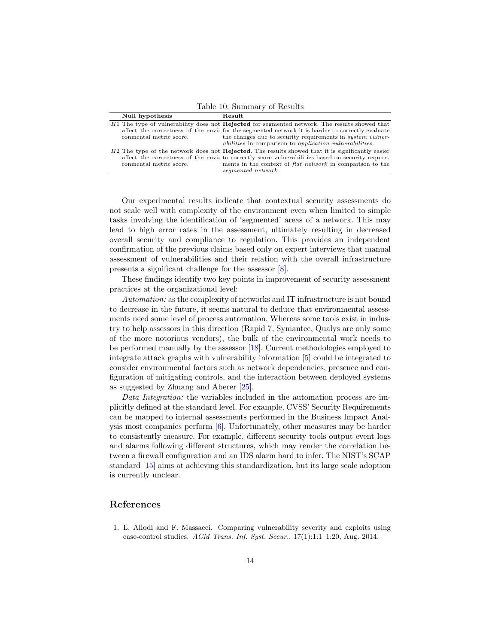Table 10: Summary of Results

<span id="page-14-1"></span>

| Null hypothesis         | Result                                                                                                                                                                                                                                                                                                                                                               |
|-------------------------|----------------------------------------------------------------------------------------------------------------------------------------------------------------------------------------------------------------------------------------------------------------------------------------------------------------------------------------------------------------------|
| ronmental metric score. | H <sub>1</sub> The type of vulnerability does not <b>Rejected</b> for segmented network. The results showed that<br>affect the correctness of the envi- for the segmented network it is harder to correctly evaluate<br>the changes due to security requirements in <i>system vulner</i> -<br><i>abilities</i> in comparison to <i>application vulnerabilities</i> . |
| ronmental metric score. | H2 The type of the network does not <b>Rejected</b> . The results showed that it is significantly easier<br>affect the correctness of the envi- to correctly score vulnerabilities based on security require-<br>ments in the context of <i>flat network</i> in comparison to the<br>segmented network.                                                              |

Our experimental results indicate that contextual security assessments do not scale well with complexity of the environment even when limited to simple tasks involving the identification of 'segmented' areas of a network. This may lead to high error rates in the assessment, ultimately resulting in decreased overall security and compliance to regulation. This provides an independent confirmation of the previous claims based only on expert interviews that manual assessment of vulnerabilities and their relation with the overall infrastructure presents a significant challenge for the assessor [\[8\]](#page-15-3).

These findings identify two key points in improvement of security assessment practices at the organizational level:

Automation: as the complexity of networks and IT infrastructure is not bound to decrease in the future, it seems natural to deduce that environmental assessments need some level of process automation. Whereas some tools exist in industry to help assessors in this direction (Rapid 7, Symantec, Qualys are only some of the more notorious vendors), the bulk of the environmental work needs to be performed manually by the assessor [\[18\]](#page-15-0). Current methodologies employed to integrate attack graphs with vulnerability information [\[5\]](#page-15-19) could be integrated to consider environmental factors such as network dependencies, presence and configuration of mitigating controls, and the interaction between deployed systems as suggested by Zhuang and Aberer [\[25\]](#page-16-2).

Data Integration: the variables included in the automation process are implicitly defined at the standard level. For example, CVSS' Security Requirements can be mapped to internal assessments performed in the Business Impact Analysis most companies perform [\[6\]](#page-15-20). Unfortunately, other measures may be harder to consistently measure. For example, different security tools output event logs and alarms following different structures, which may render the correlation between a firewall configuration and an IDS alarm hard to infer. The NIST's SCAP standard [\[15\]](#page-15-17) aims at achieving this standardization, but its large scale adoption is currently unclear.

#### References

<span id="page-14-0"></span>1. L. Allodi and F. Massacci. Comparing vulnerability severity and exploits using case-control studies. ACM Trans. Inf. Syst. Secur., 17(1):1:1–1:20, Aug. 2014.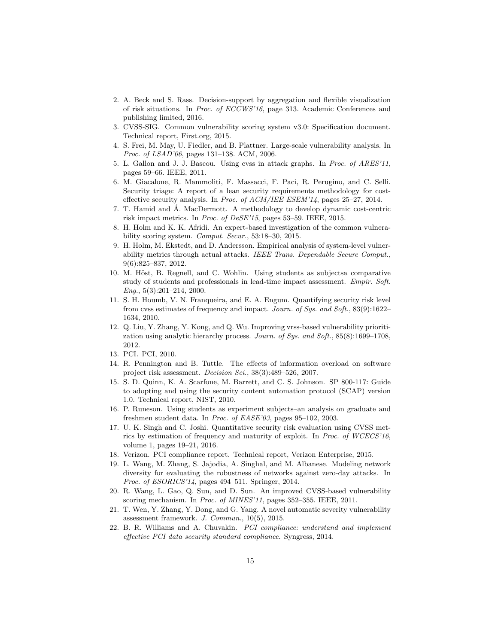- <span id="page-15-12"></span>2. A. Beck and S. Rass. Decision-support by aggregation and flexible visualization of risk situations. In Proc. of ECCWS'16, page 313. Academic Conferences and publishing limited, 2016.
- <span id="page-15-1"></span>3. CVSS-SIG. Common vulnerability scoring system v3.0: Specification document. Technical report, First.org, 2015.
- <span id="page-15-4"></span>4. S. Frei, M. May, U. Fiedler, and B. Plattner. Large-scale vulnerability analysis. In Proc. of LSAD'06, pages 131–138. ACM, 2006.
- <span id="page-15-19"></span>5. L. Gallon and J. J. Bascou. Using cvss in attack graphs. In Proc. of ARES'11, pages 59–66. IEEE, 2011.
- <span id="page-15-20"></span>6. M. Giacalone, R. Mammoliti, F. Massacci, F. Paci, R. Perugino, and C. Selli. Security triage: A report of a lean security requirements methodology for costeffective security analysis. In *Proc. of ACM/IEE ESEM'14*, pages  $25-27$ ,  $2014$ .
- <span id="page-15-10"></span>7. T. Hamid and A. MacDermott. A methodology to develop dynamic cost-centric ´ risk impact metrics. In Proc. of DeSE'15, pages 53–59. IEEE, 2015.
- <span id="page-15-3"></span>8. H. Holm and K. K. Afridi. An expert-based investigation of the common vulnerability scoring system. Comput. Secur., 53:18–30, 2015.
- <span id="page-15-8"></span>9. H. Holm, M. Ekstedt, and D. Andersson. Empirical analysis of system-level vulnerability metrics through actual attacks. IEEE Trans. Dependable Secure Comput., 9(6):825–837, 2012.
- <span id="page-15-15"></span>10. M. Höst, B. Regnell, and C. Wohlin. Using students as subjects accomparative study of students and professionals in lead-time impact assessment. Empir. Soft.  $Eng., 5(3):201-214, 2000.$
- <span id="page-15-5"></span>11. S. H. Houmb, V. N. Franqueira, and E. A. Engum. Quantifying security risk level from cvss estimates of frequency and impact. Journ. of Sys. and Soft., 83(9):1622– 1634, 2010.
- <span id="page-15-7"></span>12. Q. Liu, Y. Zhang, Y. Kong, and Q. Wu. Improving vrss-based vulnerability prioritization using analytic hierarchy process. Journ. of Sys. and Soft., 85(8):1699–1708, 2012.
- <span id="page-15-13"></span>13. PCI. PCI, 2010.
- <span id="page-15-18"></span>14. R. Pennington and B. Tuttle. The effects of information overload on software project risk assessment. Decision Sci., 38(3):489–526, 2007.
- <span id="page-15-17"></span>15. S. D. Quinn, K. A. Scarfone, M. Barrett, and C. S. Johnson. SP 800-117: Guide to adopting and using the security content automation protocol (SCAP) version 1.0. Technical report, NIST, 2010.
- <span id="page-15-16"></span>16. P. Runeson. Using students as experiment subjects–an analysis on graduate and freshmen student data. In Proc. of EASE'03, pages 95–102, 2003.
- <span id="page-15-11"></span>17. U. K. Singh and C. Joshi. Quantitative security risk evaluation using CVSS metrics by estimation of frequency and maturity of exploit. In Proc. of WCECS'16, volume 1, pages 19–21, 2016.
- <span id="page-15-0"></span>18. Verizon. PCI compliance report. Technical report, Verizon Enterprise, 2015.
- <span id="page-15-14"></span>19. L. Wang, M. Zhang, S. Jajodia, A. Singhal, and M. Albanese. Modeling network diversity for evaluating the robustness of networks against zero-day attacks. In Proc. of ESORICS'14, pages 494–511. Springer, 2014.
- <span id="page-15-6"></span>20. R. Wang, L. Gao, Q. Sun, and D. Sun. An improved CVSS-based vulnerability scoring mechanism. In Proc. of MINES'11, pages 352-355. IEEE, 2011.
- <span id="page-15-9"></span>21. T. Wen, Y. Zhang, Y. Dong, and G. Yang. A novel automatic severity vulnerability assessment framework. J. Commun., 10(5), 2015.
- <span id="page-15-2"></span>22. B. R. Williams and A. Chuvakin. PCI compliance: understand and implement effective PCI data security standard compliance. Syngress, 2014.